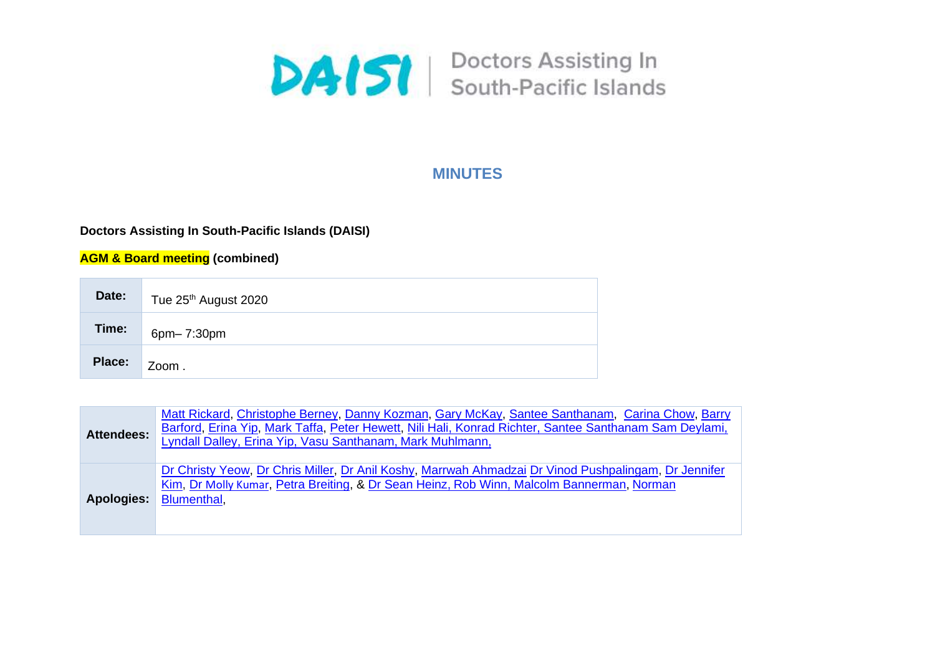

## **MINUTES**

**Doctors Assisting In South-Pacific Islands (DAISI)**

**AGM & Board meeting (combined)**

| Date:  | Tue 25 <sup>th</sup> August 2020 |
|--------|----------------------------------|
| Time:  | 6pm-7:30pm                       |
| Place: | Zoom.                            |

| <b>Attendees:</b> | Matt Rickard, Christophe Berney, Danny Kozman, Gary McKay, Santee Santhanam, Carina Chow, Barry<br>Barford, Erina Yip, Mark Taffa, Peter Hewett, Nili Hali, Konrad Richter, Santee Santhanam Sam Deylami,<br>Lyndall Dalley, Erina Yip, Vasu Santhanam, Mark Muhlmann, |
|-------------------|------------------------------------------------------------------------------------------------------------------------------------------------------------------------------------------------------------------------------------------------------------------------|
| Apologies:        | Dr Christy Yeow, Dr Chris Miller, Dr Anil Koshy, Marrwah Ahmadzai Dr Vinod Pushpalingam, Dr Jennifer<br>Kim, Dr Molly Kumar, Petra Breiting, & Dr Sean Heinz, Rob Winn, Malcolm Bannerman, Norman<br>Blumenthal,                                                       |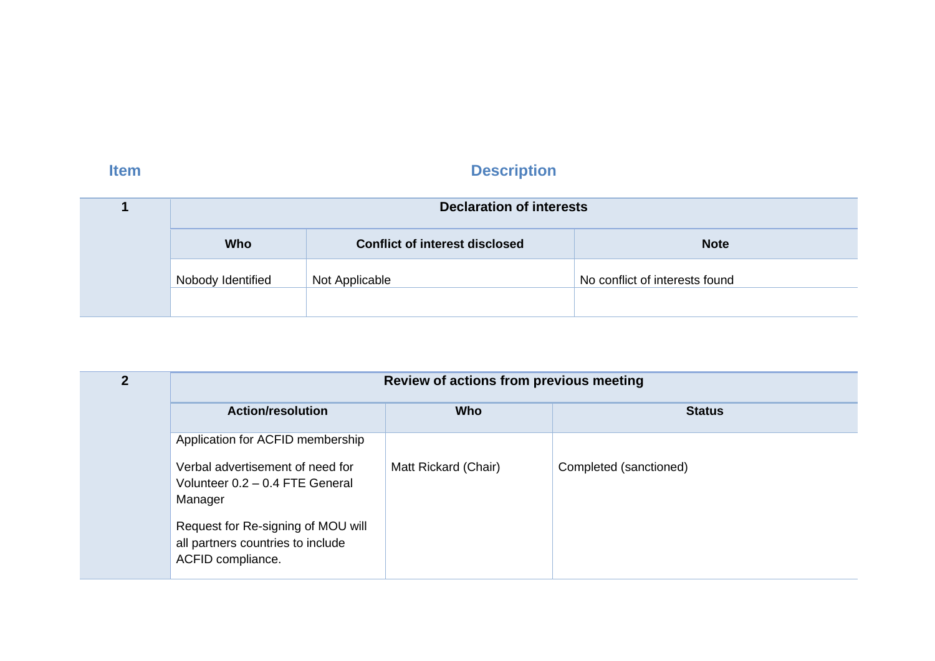# **Item Description**

| <b>Declaration of interests</b> |                                       |                                |
|---------------------------------|---------------------------------------|--------------------------------|
| <b>Who</b>                      | <b>Conflict of interest disclosed</b> | <b>Note</b>                    |
| Nobody Identified               | Not Applicable                        | No conflict of interests found |
|                                 |                                       |                                |

| 2 |                                                                                              | Review of actions from previous meeting |                        |
|---|----------------------------------------------------------------------------------------------|-----------------------------------------|------------------------|
|   | <b>Action/resolution</b>                                                                     | <b>Who</b>                              | <b>Status</b>          |
|   | Application for ACFID membership                                                             |                                         |                        |
|   | Verbal advertisement of need for<br>Volunteer 0.2 - 0.4 FTE General<br>Manager               | Matt Rickard (Chair)                    | Completed (sanctioned) |
|   | Request for Re-signing of MOU will<br>all partners countries to include<br>ACFID compliance. |                                         |                        |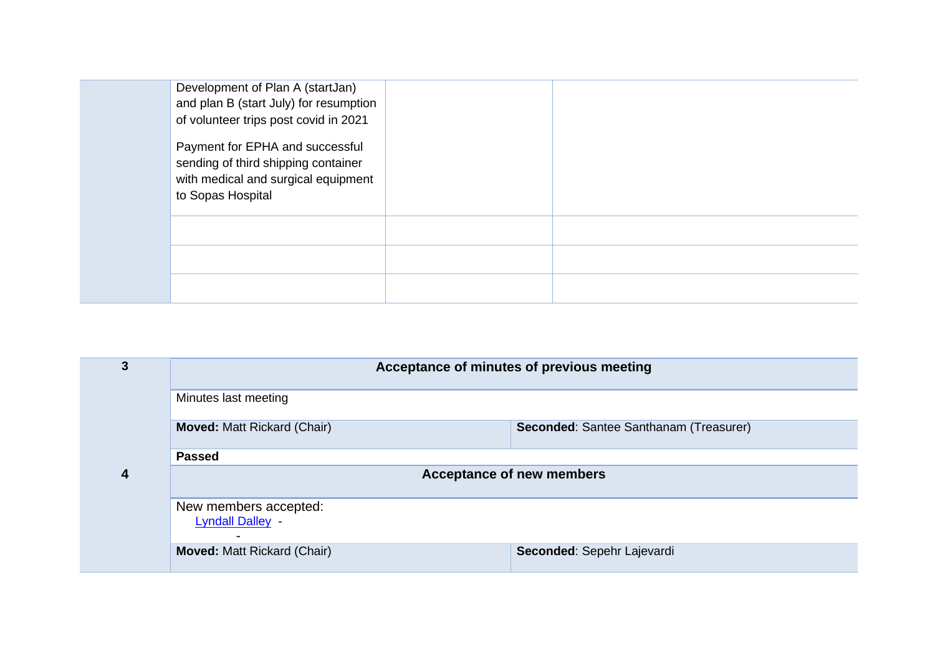| Development of Plan A (startJan)<br>and plan B (start July) for resumption<br>of volunteer trips post covid in 2021<br>Payment for EPHA and successful<br>sending of third shipping container<br>with medical and surgical equipment<br>to Sopas Hospital |  |  |
|-----------------------------------------------------------------------------------------------------------------------------------------------------------------------------------------------------------------------------------------------------------|--|--|
|                                                                                                                                                                                                                                                           |  |  |
|                                                                                                                                                                                                                                                           |  |  |
|                                                                                                                                                                                                                                                           |  |  |

| 3 | Acceptance of minutes of previous meeting        |                                        |
|---|--------------------------------------------------|----------------------------------------|
|   | Minutes last meeting                             |                                        |
|   | <b>Moved: Matt Rickard (Chair)</b>               | Seconded: Santee Santhanam (Treasurer) |
|   | <b>Passed</b>                                    |                                        |
| 4 | <b>Acceptance of new members</b>                 |                                        |
|   | New members accepted:<br><b>Lyndall Dalley -</b> |                                        |
|   | <b>Moved: Matt Rickard (Chair)</b>               | Seconded: Sepehr Lajevardi             |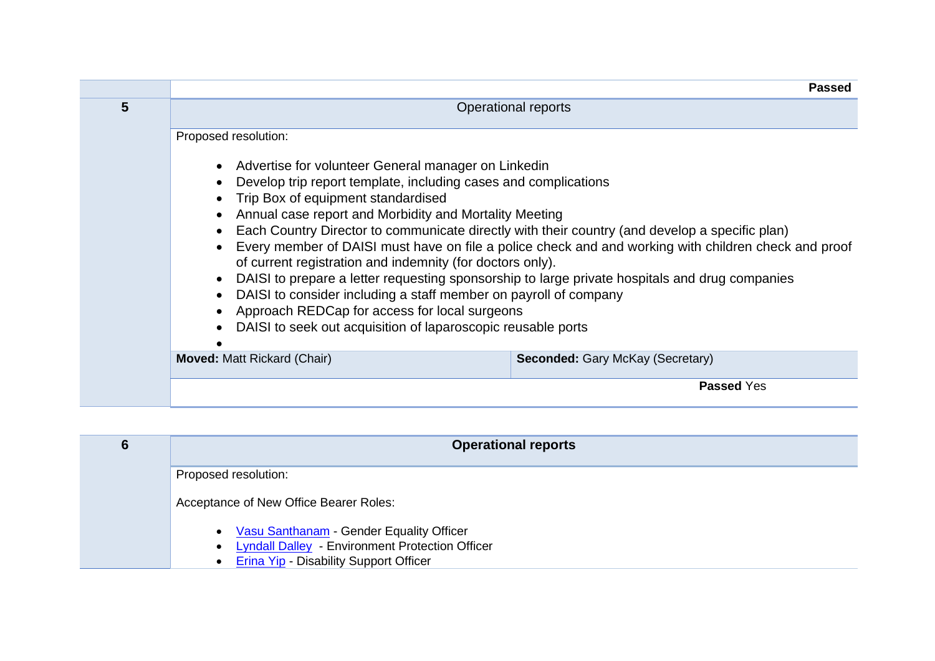|   |                                                                                                                                                                                                                                                                                                                                                                                                                                                                                                                                                                                | <b>Passed</b>                                                                                                                                                                                          |
|---|--------------------------------------------------------------------------------------------------------------------------------------------------------------------------------------------------------------------------------------------------------------------------------------------------------------------------------------------------------------------------------------------------------------------------------------------------------------------------------------------------------------------------------------------------------------------------------|--------------------------------------------------------------------------------------------------------------------------------------------------------------------------------------------------------|
| 5 |                                                                                                                                                                                                                                                                                                                                                                                                                                                                                                                                                                                | Operational reports                                                                                                                                                                                    |
|   | Proposed resolution:                                                                                                                                                                                                                                                                                                                                                                                                                                                                                                                                                           |                                                                                                                                                                                                        |
|   | • Advertise for volunteer General manager on Linkedin<br>Develop trip report template, including cases and complications<br>• Trip Box of equipment standardised<br>Annual case report and Morbidity and Mortality Meeting<br>Each Country Director to communicate directly with their country (and develop a specific plan)<br>of current registration and indemnity (for doctors only).<br>DAISI to consider including a staff member on payroll of company<br>Approach REDCap for access for local surgeons<br>DAISI to seek out acquisition of laparoscopic reusable ports | Every member of DAISI must have on file a police check and and working with children check and proof<br>DAISI to prepare a letter requesting sponsorship to large private hospitals and drug companies |
|   | <b>Moved: Matt Rickard (Chair)</b>                                                                                                                                                                                                                                                                                                                                                                                                                                                                                                                                             | <b>Seconded: Gary McKay (Secretary)</b>                                                                                                                                                                |
|   |                                                                                                                                                                                                                                                                                                                                                                                                                                                                                                                                                                                | <b>Passed Yes</b>                                                                                                                                                                                      |

| 6 | <b>Operational reports</b>                                                                                                                                    |
|---|---------------------------------------------------------------------------------------------------------------------------------------------------------------|
|   | Proposed resolution:                                                                                                                                          |
|   | Acceptance of New Office Bearer Roles:                                                                                                                        |
|   | • Vasu Santhanam - Gender Equality Officer<br><b>Lyndall Dalley</b> - Environment Protection Officer<br>$\bullet$<br>• Erina Yip - Disability Support Officer |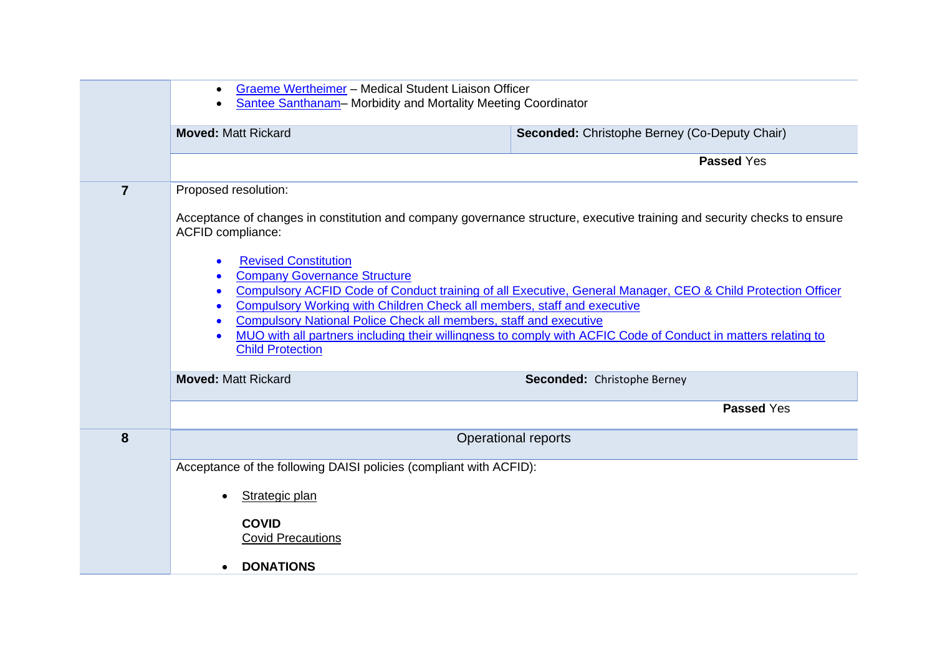|                | Graeme Wertheimer - Medical Student Liaison Officer<br>$\bullet$<br>Santee Santhanam-Morbidity and Mortality Meeting Coordinator<br>$\bullet$                                                                                                                                                                                                                                                                                                                                                         |                                                                                                                                                                                                                              |
|----------------|-------------------------------------------------------------------------------------------------------------------------------------------------------------------------------------------------------------------------------------------------------------------------------------------------------------------------------------------------------------------------------------------------------------------------------------------------------------------------------------------------------|------------------------------------------------------------------------------------------------------------------------------------------------------------------------------------------------------------------------------|
|                | <b>Moved: Matt Rickard</b>                                                                                                                                                                                                                                                                                                                                                                                                                                                                            | Seconded: Christophe Berney (Co-Deputy Chair)                                                                                                                                                                                |
|                |                                                                                                                                                                                                                                                                                                                                                                                                                                                                                                       | <b>Passed Yes</b>                                                                                                                                                                                                            |
| $\overline{7}$ | Proposed resolution:<br>Acceptance of changes in constitution and company governance structure, executive training and security checks to ensure<br><b>ACFID compliance:</b><br><b>Revised Constitution</b><br>$\bullet$<br><b>Company Governance Structure</b><br>$\bullet$<br>Compulsory Working with Children Check all members, staff and executive<br>$\bullet$<br><b>Compulsory National Police Check all members, staff and executive</b><br>$\bullet$<br>$\bullet$<br><b>Child Protection</b> | Compulsory ACFID Code of Conduct training of all Executive, General Manager, CEO & Child Protection Officer<br>MUO with all partners including their willingness to comply with ACFIC Code of Conduct in matters relating to |
|                | <b>Moved: Matt Rickard</b>                                                                                                                                                                                                                                                                                                                                                                                                                                                                            | Seconded: Christophe Berney<br><b>Passed Yes</b>                                                                                                                                                                             |
|                |                                                                                                                                                                                                                                                                                                                                                                                                                                                                                                       |                                                                                                                                                                                                                              |
| 8              |                                                                                                                                                                                                                                                                                                                                                                                                                                                                                                       | <b>Operational reports</b>                                                                                                                                                                                                   |
|                | Acceptance of the following DAISI policies (compliant with ACFID):                                                                                                                                                                                                                                                                                                                                                                                                                                    |                                                                                                                                                                                                                              |
|                | Strategic plan<br><b>COVID</b><br><b>Covid Precautions</b>                                                                                                                                                                                                                                                                                                                                                                                                                                            |                                                                                                                                                                                                                              |
|                | <b>DONATIONS</b>                                                                                                                                                                                                                                                                                                                                                                                                                                                                                      |                                                                                                                                                                                                                              |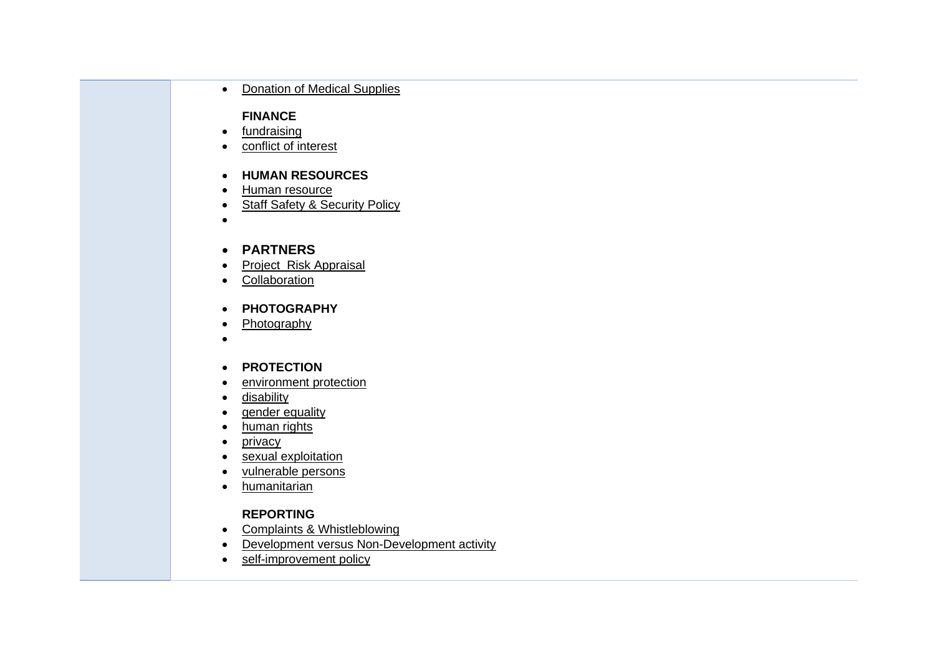#### • [Donation of Medical Supplies](https://daisi.com.au/donation-of-medical-supplies/)

#### **FINANCE**

- [fundraising](https://daisi.com.au/daisi-policies-fundraising/)
- [conflict of interest](https://daisi.com.au/conflict-of-interest/)
- **HUMAN RESOURCES**
- [Human resource](https://daisi.com.au/daisi-policies-human-resource/)
- [Staff Safety & Security Policy](https://daisi.com.au/daisi-policies-staff-safety-security-policy/)
- •

#### • **PARTNERS**

- Project Risk Appraisal
- [Collaboration](https://daisi.com.au/daisi-policies-collaboration/)

#### • **PHOTOGRAPHY**

- [Photography](https://daisi.com.au/daisi-policies-photography/)
- •

#### • **PROTECTION**

- [environment protection](https://daisi.com.au/environment-protection-policies-and-safeguards/)
- [disability](https://daisi.com.au/daisi-policies-empowerment-of-people-with-disabilities/)
- gender equality
- [human rights](https://daisi.com.au/daisi-policies-human-rights/)
- privacy
- [sexual exploitation](https://daisi.com.au/vulnerable-adult-protection/)
- [vulnerable persons](https://daisi.com.au/daisi-policies-vulnerable-and-marginalised/)
- humanitarian

### **REPORTING**

- [Complaints & Whistleblowing](https://daisi.com.au/daisi-policies-complaints-and-whistleblowing/)
- [Development versus Non-Development activity](https://daisi.com.au/daisi-policies-development-versus-non-development-activities/)
- [self-improvement policy](https://daisi.com.au/daisi-policies-self-improvement/)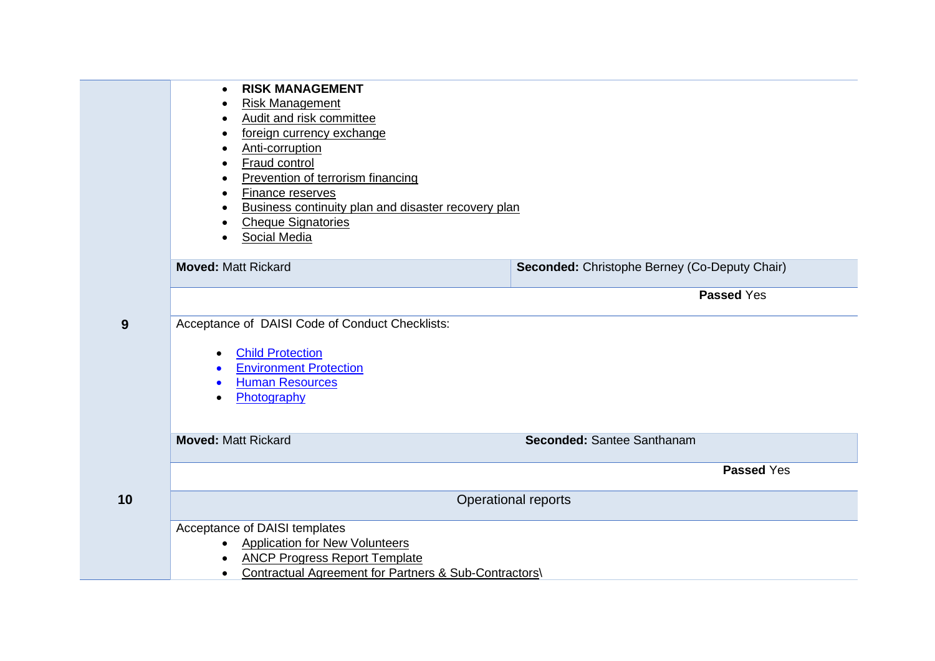|    | <b>RISK MANAGEMENT</b>                                                          |                                               |
|----|---------------------------------------------------------------------------------|-----------------------------------------------|
|    | Risk Management                                                                 |                                               |
|    | Audit and risk committee<br>$\bullet$<br>foreign currency exchange<br>$\bullet$ |                                               |
|    | Anti-corruption                                                                 |                                               |
|    | Fraud control                                                                   |                                               |
|    | Prevention of terrorism financing<br>$\bullet$                                  |                                               |
|    | Finance reserves<br>$\bullet$                                                   |                                               |
|    | Business continuity plan and disaster recovery plan                             |                                               |
|    | <b>Cheque Signatories</b>                                                       |                                               |
|    | <b>Social Media</b><br>$\bullet$                                                |                                               |
|    |                                                                                 |                                               |
|    | <b>Moved: Matt Rickard</b>                                                      | Seconded: Christophe Berney (Co-Deputy Chair) |
|    |                                                                                 | <b>Passed Yes</b>                             |
| 9  | Acceptance of DAISI Code of Conduct Checklists:                                 |                                               |
|    |                                                                                 |                                               |
|    | <b>Child Protection</b><br>$\bullet$                                            |                                               |
|    | <b>Environment Protection</b><br>$\bullet$                                      |                                               |
|    | <b>Human Resources</b><br>$\bullet$                                             |                                               |
|    | Photography<br>$\bullet$                                                        |                                               |
|    |                                                                                 |                                               |
|    | <b>Moved: Matt Rickard</b>                                                      | Seconded: Santee Santhanam                    |
|    |                                                                                 | <b>Passed Yes</b>                             |
|    |                                                                                 |                                               |
|    |                                                                                 |                                               |
| 10 |                                                                                 | Operational reports                           |
|    |                                                                                 |                                               |
|    | Acceptance of DAISI templates<br><b>Application for New Volunteers</b>          |                                               |
|    | <b>ANCP Progress Report Template</b>                                            |                                               |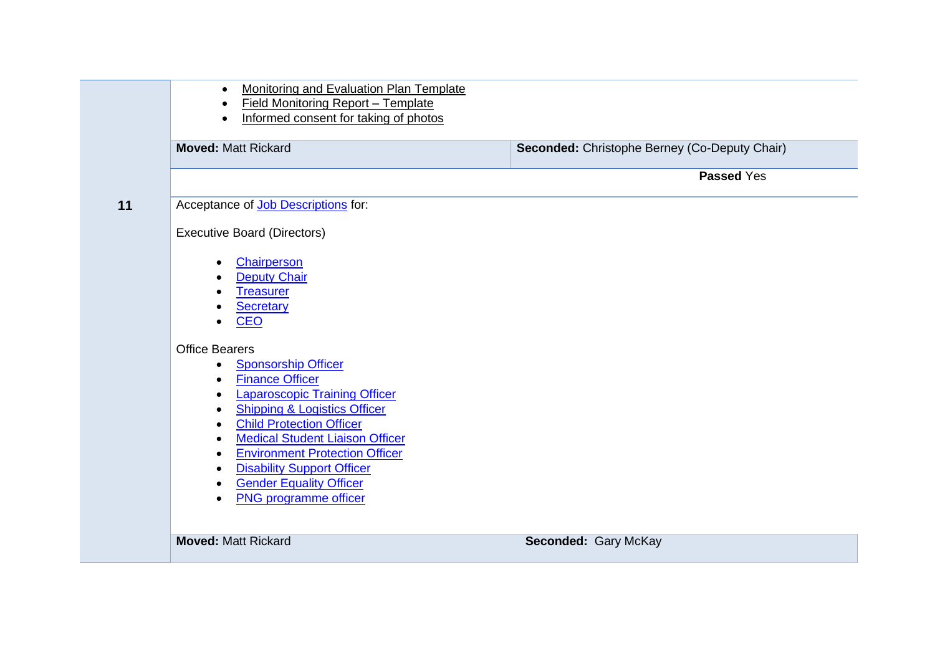|    | <b>Monitoring and Evaluation Plan Template</b><br>$\bullet$<br><b>Field Monitoring Report - Template</b><br>$\bullet$<br>Informed consent for taking of photos<br>$\bullet$                                                                                                                                                                                                                                                                                                               |                                               |
|----|-------------------------------------------------------------------------------------------------------------------------------------------------------------------------------------------------------------------------------------------------------------------------------------------------------------------------------------------------------------------------------------------------------------------------------------------------------------------------------------------|-----------------------------------------------|
|    | <b>Moved: Matt Rickard</b>                                                                                                                                                                                                                                                                                                                                                                                                                                                                | Seconded: Christophe Berney (Co-Deputy Chair) |
|    |                                                                                                                                                                                                                                                                                                                                                                                                                                                                                           | Passed Yes                                    |
| 11 | Acceptance of Job Descriptions for:<br><b>Executive Board (Directors)</b><br>Chairperson<br>$\bullet$<br><b>Deputy Chair</b><br>$\bullet$                                                                                                                                                                                                                                                                                                                                                 |                                               |
|    | <b>Treasurer</b><br>$\bullet$<br>Secretary<br><b>CEO</b><br><b>Office Bearers</b>                                                                                                                                                                                                                                                                                                                                                                                                         |                                               |
|    | <b>Sponsorship Officer</b><br>$\bullet$<br><b>Finance Officer</b><br>$\bullet$<br><b>Laparoscopic Training Officer</b><br>$\bullet$<br><b>Shipping &amp; Logistics Officer</b><br>$\bullet$<br><b>Child Protection Officer</b><br>$\bullet$<br><b>Medical Student Liaison Officer</b><br>$\bullet$<br><b>Environment Protection Officer</b><br>$\bullet$<br><b>Disability Support Officer</b><br>$\bullet$<br><b>Gender Equality Officer</b><br><b>PNG</b> programme officer<br>$\bullet$ |                                               |
|    | <b>Moved: Matt Rickard</b>                                                                                                                                                                                                                                                                                                                                                                                                                                                                | Seconded: Gary McKay                          |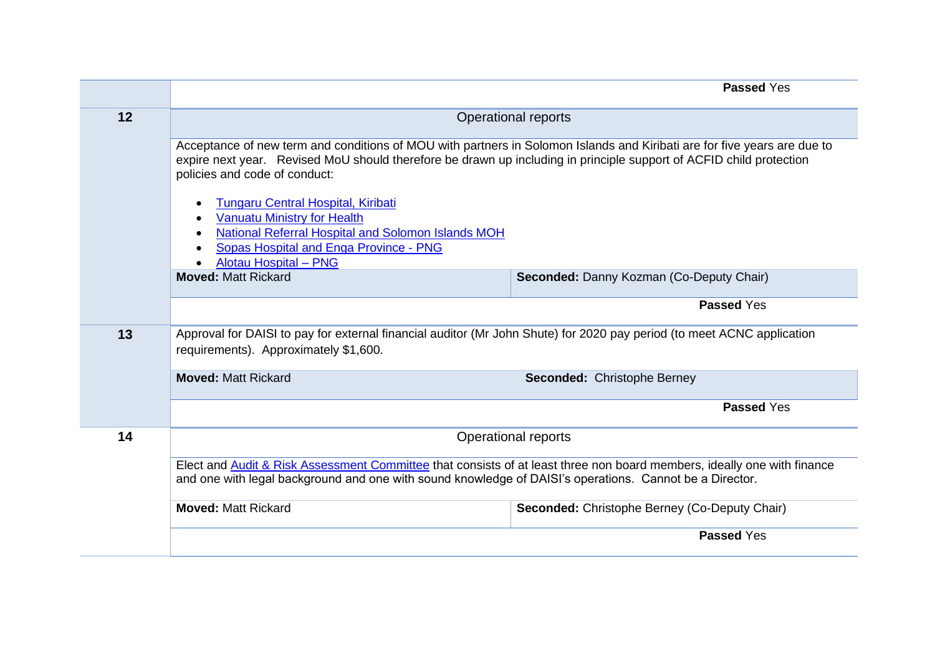|    |                                                                                                                                                                 | <b>Passed Yes</b>                                                                                                                                                                                                                               |  |
|----|-----------------------------------------------------------------------------------------------------------------------------------------------------------------|-------------------------------------------------------------------------------------------------------------------------------------------------------------------------------------------------------------------------------------------------|--|
| 12 |                                                                                                                                                                 | <b>Operational reports</b>                                                                                                                                                                                                                      |  |
|    | policies and code of conduct:                                                                                                                                   | Acceptance of new term and conditions of MOU with partners in Solomon Islands and Kiribati are for five years are due to<br>expire next year. Revised MoU should therefore be drawn up including in principle support of ACFID child protection |  |
|    | <b>Tungaru Central Hospital, Kiribati</b><br><b>Vanuatu Ministry for Health</b>                                                                                 |                                                                                                                                                                                                                                                 |  |
|    | National Referral Hospital and Solomon Islands MOH<br>Sopas Hospital and Enga Province - PNG<br><b>Alotau Hospital - PNG</b>                                    |                                                                                                                                                                                                                                                 |  |
|    | <b>Moved: Matt Rickard</b>                                                                                                                                      | Seconded: Danny Kozman (Co-Deputy Chair)                                                                                                                                                                                                        |  |
|    |                                                                                                                                                                 | Passed Yes                                                                                                                                                                                                                                      |  |
| 13 | Approval for DAISI to pay for external financial auditor (Mr John Shute) for 2020 pay period (to meet ACNC application<br>requirements). Approximately \$1,600. |                                                                                                                                                                                                                                                 |  |
|    |                                                                                                                                                                 |                                                                                                                                                                                                                                                 |  |
|    | <b>Moved: Matt Rickard</b>                                                                                                                                      | <b>Seconded: Christophe Berney</b>                                                                                                                                                                                                              |  |
|    |                                                                                                                                                                 | <b>Passed Yes</b>                                                                                                                                                                                                                               |  |
| 14 |                                                                                                                                                                 | Operational reports                                                                                                                                                                                                                             |  |
|    |                                                                                                                                                                 | and one with legal background and one with sound knowledge of DAISI's operations. Cannot be a Director.                                                                                                                                         |  |
|    | <b>Moved: Matt Rickard</b>                                                                                                                                      | Elect and Audit & Risk Assessment Committee that consists of at least three non board members, ideally one with finance<br>Seconded: Christophe Berney (Co-Deputy Chair)                                                                        |  |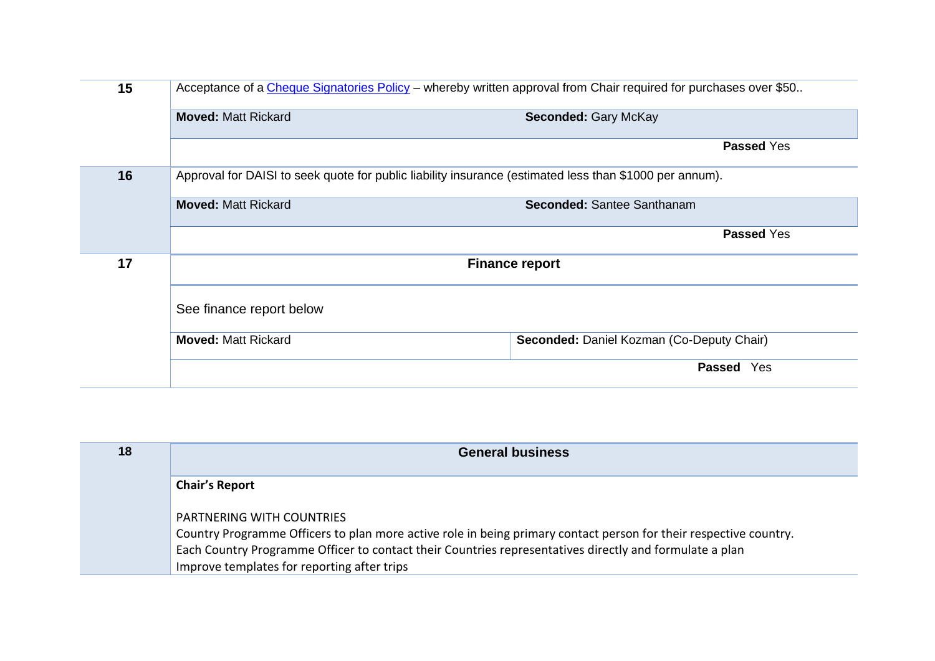| 15 | Acceptance of a Cheque Signatories Policy - whereby written approval from Chair required for purchases over \$50 |                                           |  |
|----|------------------------------------------------------------------------------------------------------------------|-------------------------------------------|--|
|    | <b>Moved: Matt Rickard</b>                                                                                       | <b>Seconded: Gary McKay</b>               |  |
|    |                                                                                                                  | Passed Yes                                |  |
| 16 | Approval for DAISI to seek quote for public liability insurance (estimated less than \$1000 per annum).          |                                           |  |
|    | <b>Moved: Matt Rickard</b>                                                                                       | <b>Seconded: Santee Santhanam</b>         |  |
|    |                                                                                                                  | <b>Passed Yes</b>                         |  |
| 17 | <b>Finance report</b>                                                                                            |                                           |  |
|    | See finance report below                                                                                         |                                           |  |
|    | <b>Moved: Matt Rickard</b>                                                                                       | Seconded: Daniel Kozman (Co-Deputy Chair) |  |
|    |                                                                                                                  | Passed Yes                                |  |

| 18 | <b>General business</b>                                                                                                                                                                                                                                                                                         |
|----|-----------------------------------------------------------------------------------------------------------------------------------------------------------------------------------------------------------------------------------------------------------------------------------------------------------------|
|    | <b>Chair's Report</b>                                                                                                                                                                                                                                                                                           |
|    | <b>PARTNERING WITH COUNTRIES</b><br>Country Programme Officers to plan more active role in being primary contact person for their respective country.<br>Each Country Programme Officer to contact their Countries representatives directly and formulate a plan<br>Improve templates for reporting after trips |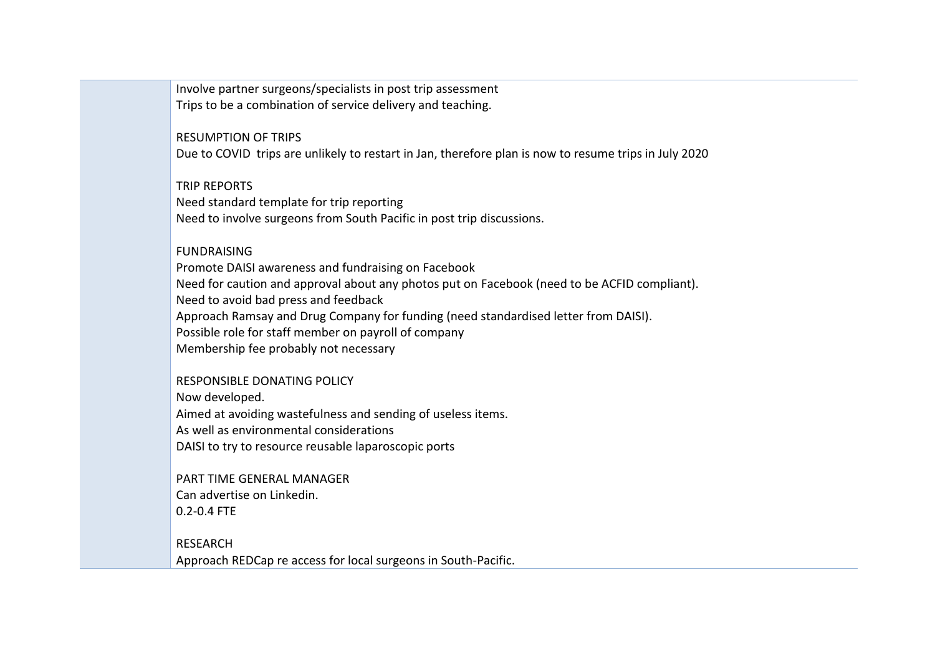Involve partner surgeons/specialists in post trip assessment Trips to be a combination of service delivery and teaching.

RESUMPTION OF TRIPS

Due to COVID trips are unlikely to restart in Jan, therefore plan is now to resume trips in July 2020

TRIP REPORTS Need standard template for trip reporting Need to involve surgeons from South Pacific in post trip discussions.

#### FUNDRAISING

Promote DAISI awareness and fundraising on Facebook Need for caution and approval about any photos put on Facebook (need to be ACFID compliant). Need to avoid bad press and feedback Approach Ramsay and Drug Company for funding (need standardised letter from DAISI). Possible role for staff member on payroll of company Membership fee probably not necessary

#### RESPONSIBLE DONATING POLICY

Now developed. Aimed at avoiding wastefulness and sending of useless items. As well as environmental considerations DAISI to try to resource reusable laparoscopic ports

PART TIME GENERAL MANAGER Can advertise on Linkedin. 0.2-0.4 FTE

RESEARCH Approach REDCap re access for local surgeons in South-Pacific.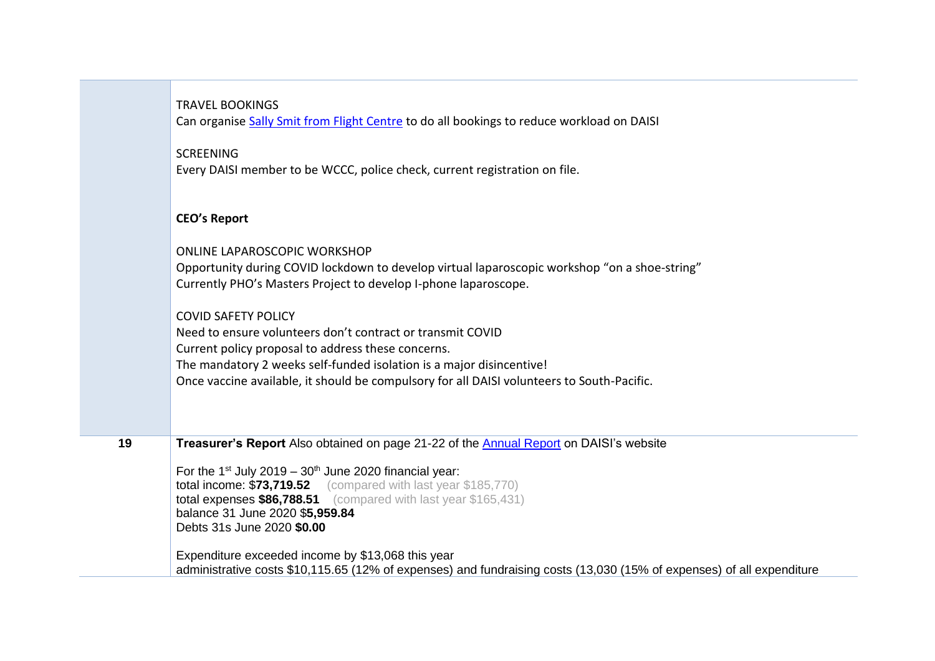|    | <b>TRAVEL BOOKINGS</b><br>Can organise Sally Smit from Flight Centre to do all bookings to reduce workload on DAISI                                                                                                                                                                            |  |  |
|----|------------------------------------------------------------------------------------------------------------------------------------------------------------------------------------------------------------------------------------------------------------------------------------------------|--|--|
|    | <b>SCREENING</b><br>Every DAISI member to be WCCC, police check, current registration on file.                                                                                                                                                                                                 |  |  |
|    | <b>CEO's Report</b>                                                                                                                                                                                                                                                                            |  |  |
|    | <b>ONLINE LAPAROSCOPIC WORKSHOP</b>                                                                                                                                                                                                                                                            |  |  |
|    | Opportunity during COVID lockdown to develop virtual laparoscopic workshop "on a shoe-string"<br>Currently PHO's Masters Project to develop I-phone laparoscope.                                                                                                                               |  |  |
|    | <b>COVID SAFETY POLICY</b>                                                                                                                                                                                                                                                                     |  |  |
|    | Need to ensure volunteers don't contract or transmit COVID                                                                                                                                                                                                                                     |  |  |
|    | Current policy proposal to address these concerns.<br>The mandatory 2 weeks self-funded isolation is a major disincentive!                                                                                                                                                                     |  |  |
|    | Once vaccine available, it should be compulsory for all DAISI volunteers to South-Pacific.                                                                                                                                                                                                     |  |  |
|    |                                                                                                                                                                                                                                                                                                |  |  |
| 19 | Treasurer's Report Also obtained on page 21-22 of the Annual Report on DAISI's website                                                                                                                                                                                                         |  |  |
|    | For the 1 <sup>st</sup> July 2019 – $30th$ June 2020 financial year:<br>total income: \$73,719.52 (compared with last year \$185,770)<br><b>total expenses <math>\$86,788.51</math></b> (compared with last year $$165,431$ )<br>balance 31 June 2020 \$5,959.84<br>Debts 31s June 2020 \$0.00 |  |  |
|    | Expenditure exceeded income by \$13,068 this year<br>administrative costs \$10,115.65 (12% of expenses) and fundraising costs (13,030 (15% of expenses) of all expenditure                                                                                                                     |  |  |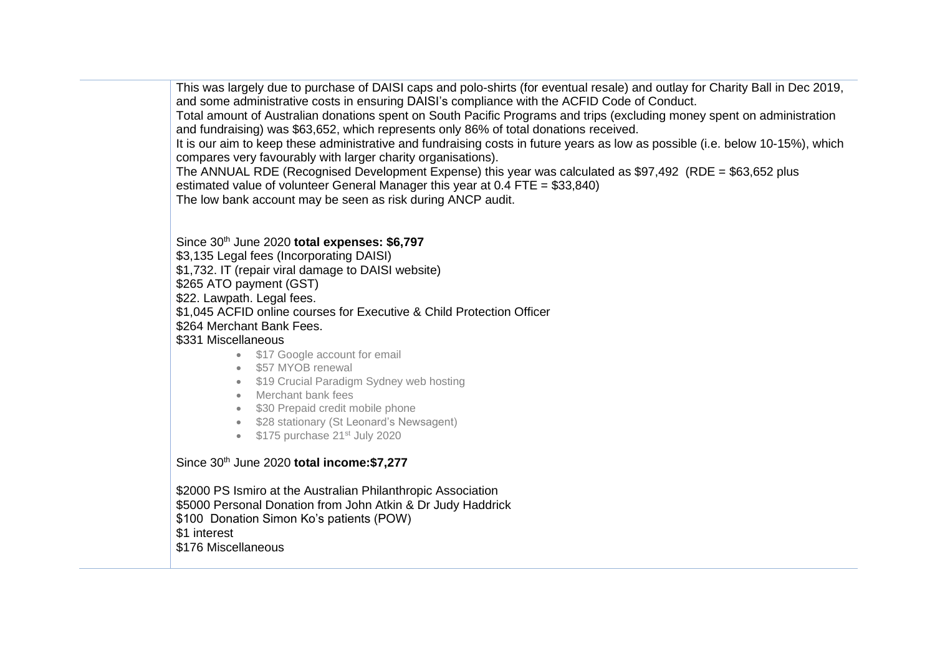This was largely due to purchase of DAISI caps and polo-shirts (for eventual resale) and outlay for Charity Ball in Dec 2019, and some administrative costs in ensuring DAISI's compliance with the ACFID Code of Conduct.

Total amount of Australian donations spent on South Pacific Programs and trips (excluding money spent on administration and fundraising) was \$63,652, which represents only 86% of total donations received.

It is our aim to keep these administrative and fundraising costs in future years as low as possible (i.e. below 10-15%), which compares very favourably with larger charity organisations).

The ANNUAL RDE (Recognised Development Expense) this year was calculated as \$97,492 (RDE = \$63,652 plus estimated value of volunteer General Manager this year at 0.4 FTE = \$33,840)

The low bank account may be seen as risk during ANCP audit.

Since 30th June 2020 **total expenses: \$6,797** \$3,135 Legal fees (Incorporating DAISI) \$1.732. IT (repair viral damage to DAISI website) \$265 ATO payment (GST) \$22. Lawpath. Legal fees. \$1,045 ACFID online courses for Executive & Child Protection Officer \$264 Merchant Bank Fees. \$331 Miscellaneous

- \$17 Google account for email
	- \$57 MYOB renewal
	- \$19 Crucial Paradigm Sydney web hosting
	- Merchant bank fees
- \$30 Prepaid credit mobile phone
- \$28 stationary (St Leonard's Newsagent)
- \$175 purchase 21<sup>st</sup> July 2020

Since 30th June 2020 **total income:\$7,277**

\$2000 PS Ismiro at the Australian Philanthropic Association \$5000 Personal Donation from John Atkin & Dr Judy Haddrick \$100 Donation Simon Ko's patients (POW) \$1 interest \$176 Miscellaneous